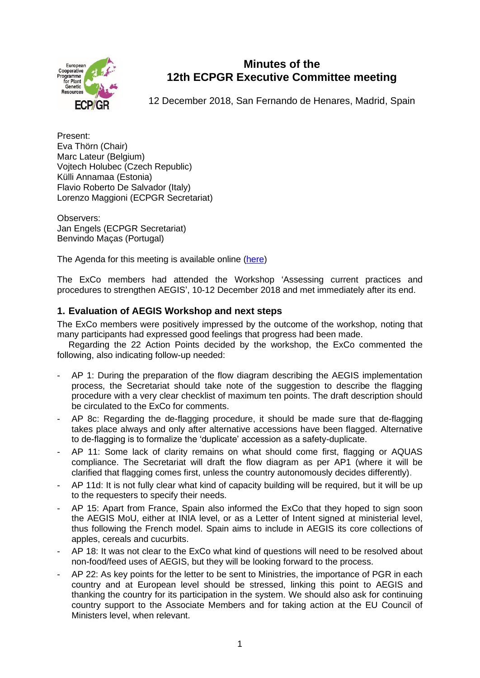

# **Minutes of the 12th ECPGR Executive Committee meeting**

12 December 2018, San Fernando de Henares, Madrid, Spain

Present: Eva Thörn (Chair) Marc Lateur (Belgium) Vojtech Holubec (Czech Republic) Külli Annamaa (Estonia) Flavio Roberto De Salvador (Italy) Lorenzo Maggioni (ECPGR Secretariat)

Observers: Jan Engels (ECPGR Secretariat) Benvindo Maças (Portugal)

The Agenda for this meeting is available online [\(here\)](http://www.ecpgr.cgiar.org/about-ecpgr/executive-committee/twelfth-meeting/)

The ExCo members had attended the Workshop 'Assessing current practices and procedures to strengthen AEGIS', 10-12 December 2018 and met immediately after its end.

## **1. Evaluation of AEGIS Workshop and next steps**

The ExCo members were positively impressed by the outcome of the workshop, noting that many participants had expressed good feelings that progress had been made.

Regarding the 22 Action Points decided by the workshop, the ExCo commented the following, also indicating follow-up needed:

- AP 1: During the preparation of the flow diagram describing the AEGIS implementation process, the Secretariat should take note of the suggestion to describe the flagging procedure with a very clear checklist of maximum ten points. The draft description should be circulated to the ExCo for comments.
- AP 8c: Regarding the de-flagging procedure, it should be made sure that de-flagging takes place always and only after alternative accessions have been flagged. Alternative to de-flagging is to formalize the 'duplicate' accession as a safety-duplicate.
- AP 11: Some lack of clarity remains on what should come first, flagging or AQUAS compliance. The Secretariat will draft the flow diagram as per AP1 (where it will be clarified that flagging comes first, unless the country autonomously decides differently).
- AP 11d: It is not fully clear what kind of capacity building will be required, but it will be up to the requesters to specify their needs.
- AP 15: Apart from France, Spain also informed the ExCo that they hoped to sign soon the AEGIS MoU, either at INIA level, or as a Letter of Intent signed at ministerial level, thus following the French model. Spain aims to include in AEGIS its core collections of apples, cereals and cucurbits.
- AP 18: It was not clear to the ExCo what kind of questions will need to be resolved about non-food/feed uses of AEGIS, but they will be looking forward to the process.
- AP 22: As key points for the letter to be sent to Ministries, the importance of PGR in each country and at European level should be stressed, linking this point to AEGIS and thanking the country for its participation in the system. We should also ask for continuing country support to the Associate Members and for taking action at the EU Council of Ministers level, when relevant.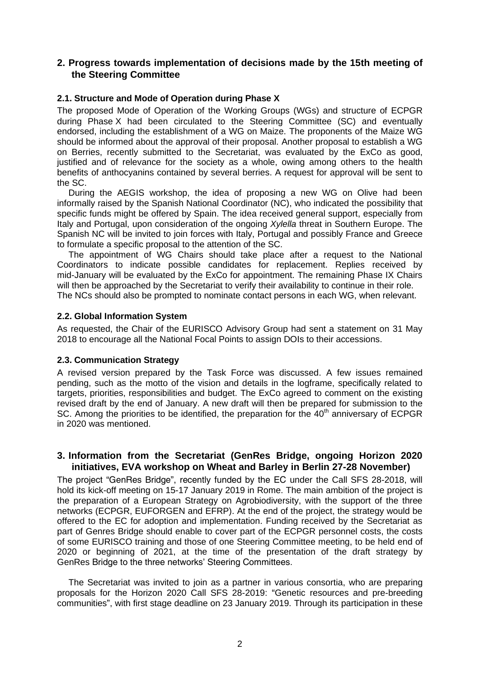## **2. Progress towards implementation of decisions made by the 15th meeting of the Steering Committee**

#### **2.1. Structure and Mode of Operation during Phase X**

The proposed Mode of Operation of the Working Groups (WGs) and structure of ECPGR during Phase X had been circulated to the Steering Committee (SC) and eventually endorsed, including the establishment of a WG on Maize. The proponents of the Maize WG should be informed about the approval of their proposal. Another proposal to establish a WG on Berries, recently submitted to the Secretariat, was evaluated by the ExCo as good, justified and of relevance for the society as a whole, owing among others to the health benefits of anthocyanins contained by several berries. A request for approval will be sent to the SC.

During the AEGIS workshop, the idea of proposing a new WG on Olive had been informally raised by the Spanish National Coordinator (NC), who indicated the possibility that specific funds might be offered by Spain. The idea received general support, especially from Italy and Portugal, upon consideration of the ongoing *Xylella* threat in Southern Europe. The Spanish NC will be invited to join forces with Italy, Portugal and possibly France and Greece to formulate a specific proposal to the attention of the SC.

The appointment of WG Chairs should take place after a request to the National Coordinators to indicate possible candidates for replacement. Replies received by mid-January will be evaluated by the ExCo for appointment. The remaining Phase IX Chairs will then be approached by the Secretariat to verify their availability to continue in their role. The NCs should also be prompted to nominate contact persons in each WG, when relevant.

#### **2.2. Global Information System**

As requested, the Chair of the EURISCO Advisory Group had sent a statement on 31 May 2018 to encourage all the National Focal Points to assign DOIs to their accessions.

#### **2.3. Communication Strategy**

A revised version prepared by the Task Force was discussed. A few issues remained pending, such as the motto of the vision and details in the logframe, specifically related to targets, priorities, responsibilities and budget. The ExCo agreed to comment on the existing revised draft by the end of January. A new draft will then be prepared for submission to the SC. Among the priorities to be identified, the preparation for the  $40<sup>th</sup>$  anniversary of ECPGR in 2020 was mentioned.

## **3. Information from the Secretariat (GenRes Bridge, ongoing Horizon 2020 initiatives, EVA workshop on Wheat and Barley in Berlin 27-28 November)**

The project "GenRes Bridge", recently funded by the EC under the Call SFS 28-2018, will hold its kick-off meeting on 15-17 January 2019 in Rome. The main ambition of the project is the preparation of a European Strategy on Agrobiodiversity, with the support of the three networks (ECPGR, EUFORGEN and EFRP). At the end of the project, the strategy would be offered to the EC for adoption and implementation. Funding received by the Secretariat as part of Genres Bridge should enable to cover part of the ECPGR personnel costs, the costs of some EURISCO training and those of one Steering Committee meeting, to be held end of 2020 or beginning of 2021, at the time of the presentation of the draft strategy by GenRes Bridge to the three networks' Steering Committees.

The Secretariat was invited to join as a partner in various consortia, who are preparing proposals for the Horizon 2020 Call SFS 28-2019: "Genetic resources and pre-breeding communities", with first stage deadline on 23 January 2019. Through its participation in these